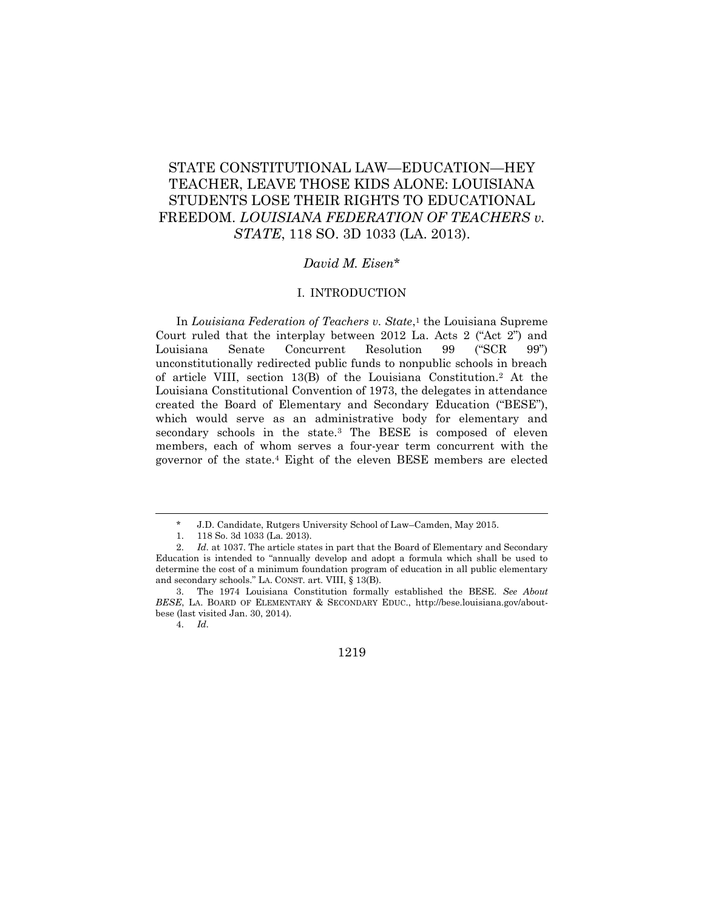# STATE CONSTITUTIONAL LAW—EDUCATION—HEY TEACHER, LEAVE THOSE KIDS ALONE: LOUISIANA STUDENTS LOSE THEIR RIGHTS TO EDUCATIONAL FREEDOM. *LOUISIANA FEDERATION OF TEACHERS v. STATE*, 118 SO. 3D 1033 (LA. 2013).

## *David M. Eisen*\*

# I. INTRODUCTION

In *Louisiana Federation of Teachers v. State*, <sup>1</sup> the Louisiana Supreme Court ruled that the interplay between 2012 La. Acts 2 ("Act 2") and Louisiana Senate Concurrent Resolution 99 ("SCR 99") unconstitutionally redirected public funds to nonpublic schools in breach of article VIII, section 13(B) of the Louisiana Constitution.<sup>2</sup> At the Louisiana Constitutional Convention of 1973, the delegates in attendance created the Board of Elementary and Secondary Education ("BESE"), which would serve as an administrative body for elementary and secondary schools in the state.<sup>3</sup> The BESE is composed of eleven members, each of whom serves a four-year term concurrent with the governor of the state.<sup>4</sup> Eight of the eleven BESE members are elected

 $\overline{a}$ 

1219

<sup>\*</sup> J.D. Candidate, Rutgers University School of Law–Camden, May 2015.

<sup>1.</sup> 118 So. 3d 1033 (La. 2013).

<sup>2.</sup> *Id.* at 1037. The article states in part that the Board of Elementary and Secondary Education is intended to "annually develop and adopt a formula which shall be used to determine the cost of a minimum foundation program of education in all public elementary and secondary schools." LA. CONST. art. VIII, § 13(B).

<sup>3.</sup> The 1974 Louisiana Constitution formally established the BESE. *See About BESE*, LA. BOARD OF ELEMENTARY & SECONDARY EDUC., http://bese.louisiana.gov/aboutbese (last visited Jan. 30, 2014).

<sup>4.</sup> *Id.*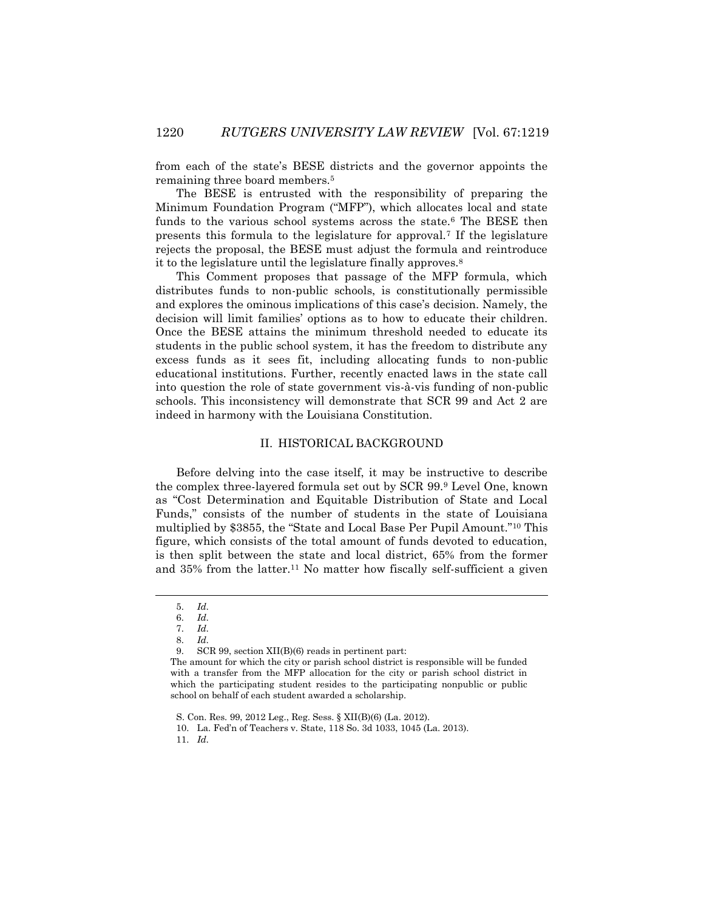from each of the state's BESE districts and the governor appoints the remaining three board members.<sup>5</sup>

The BESE is entrusted with the responsibility of preparing the Minimum Foundation Program ("MFP"), which allocates local and state funds to the various school systems across the state.<sup>6</sup> The BESE then presents this formula to the legislature for approval.<sup>7</sup> If the legislature rejects the proposal, the BESE must adjust the formula and reintroduce it to the legislature until the legislature finally approves.<sup>8</sup>

This Comment proposes that passage of the MFP formula, which distributes funds to non-public schools, is constitutionally permissible and explores the ominous implications of this case's decision. Namely, the decision will limit families' options as to how to educate their children. Once the BESE attains the minimum threshold needed to educate its students in the public school system, it has the freedom to distribute any excess funds as it sees fit, including allocating funds to non-public educational institutions. Further, recently enacted laws in the state call into question the role of state government vis-à-vis funding of non-public schools. This inconsistency will demonstrate that SCR 99 and Act 2 are indeed in harmony with the Louisiana Constitution.

# II. HISTORICAL BACKGROUND

Before delving into the case itself, it may be instructive to describe the complex three-layered formula set out by SCR 99.<sup>9</sup> Level One, known as "Cost Determination and Equitable Distribution of State and Local Funds," consists of the number of students in the state of Louisiana multiplied by \$3855, the "State and Local Base Per Pupil Amount."<sup>10</sup> This figure, which consists of the total amount of funds devoted to education, is then split between the state and local district, 65% from the former and 35% from the latter.<sup>11</sup> No matter how fiscally self-sufficient a given

l

11. *Id.*

<sup>5.</sup> *Id.*

<sup>6.</sup> *Id.*

<sup>7.</sup> *Id.*

<sup>8.</sup> *Id.* 

<sup>9.</sup> SCR 99, section XII(B)(6) reads in pertinent part:

The amount for which the city or parish school district is responsible will be funded with a transfer from the MFP allocation for the city or parish school district in which the participating student resides to the participating nonpublic or public school on behalf of each student awarded a scholarship.

S. Con. Res. 99, 2012 Leg., Reg. Sess. § XII(B)(6) (La. 2012).

<sup>10.</sup> La. Fed'n of Teachers v. State, 118 So. 3d 1033, 1045 (La. 2013).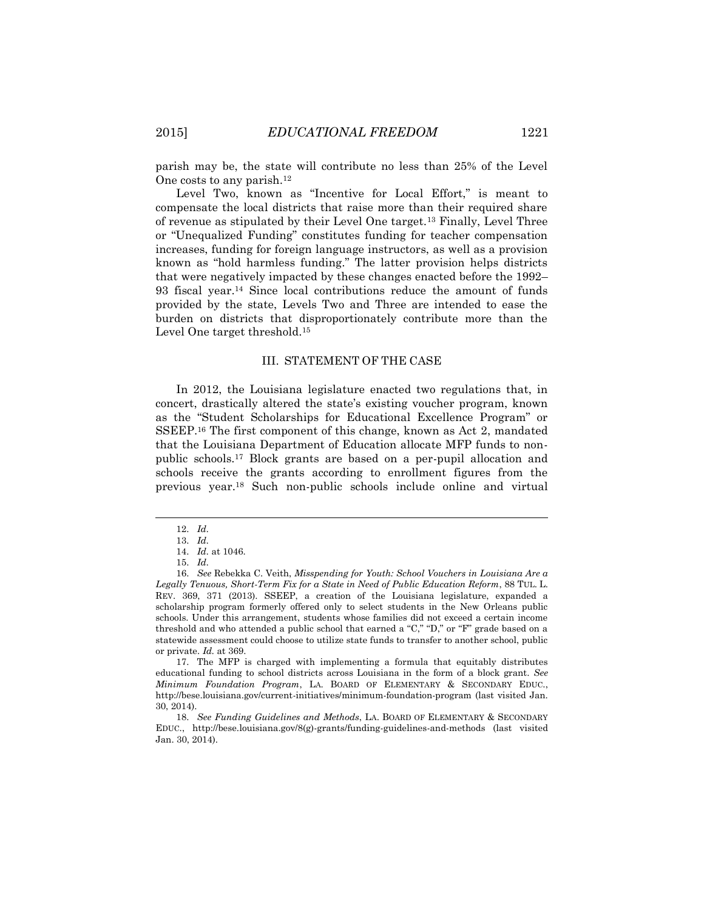parish may be, the state will contribute no less than 25% of the Level One costs to any parish.<sup>12</sup>

Level Two, known as "Incentive for Local Effort," is meant to compensate the local districts that raise more than their required share of revenue as stipulated by their Level One target.<sup>13</sup> Finally, Level Three or "Unequalized Funding" constitutes funding for teacher compensation increases, funding for foreign language instructors, as well as a provision known as "hold harmless funding." The latter provision helps districts that were negatively impacted by these changes enacted before the 1992– 93 fiscal year.<sup>14</sup> Since local contributions reduce the amount of funds provided by the state, Levels Two and Three are intended to ease the burden on districts that disproportionately contribute more than the Level One target threshold.<sup>15</sup>

## III. STATEMENT OF THE CASE

In 2012, the Louisiana legislature enacted two regulations that, in concert, drastically altered the state's existing voucher program, known as the "Student Scholarships for Educational Excellence Program" or SSEEP.<sup>16</sup> The first component of this change, known as Act 2, mandated that the Louisiana Department of Education allocate MFP funds to nonpublic schools.<sup>17</sup> Block grants are based on a per-pupil allocation and schools receive the grants according to enrollment figures from the previous year.<sup>18</sup> Such non-public schools include online and virtual

 $\overline{\phantom{a}}$ 

17. The MFP is charged with implementing a formula that equitably distributes educational funding to school districts across Louisiana in the form of a block grant. *See Minimum Foundation Program*, LA. BOARD OF ELEMENTARY & SECONDARY EDUC., http://bese.louisiana.gov/current-initiatives/minimum-foundation-program (last visited Jan. 30, 2014).

18. *See Funding Guidelines and Methods*, LA. BOARD OF ELEMENTARY & SECONDARY EDUC., http://bese.louisiana.gov/8(g)-grants/funding-guidelines-and-methods (last visited Jan. 30, 2014).

<sup>12.</sup> *Id.*

<sup>13.</sup> *Id.*

<sup>14.</sup> *Id.* at 1046.

<sup>15.</sup> *Id.*

<sup>16.</sup> *See* Rebekka C. Veith, *Misspending for Youth: School Vouchers in Louisiana Are a Legally Tenuous, Short-Term Fix for a State in Need of Public Education Reform*, 88 TUL. L. REV. 369, 371 (2013). SSEEP, a creation of the Louisiana legislature, expanded a scholarship program formerly offered only to select students in the New Orleans public schools. Under this arrangement, students whose families did not exceed a certain income threshold and who attended a public school that earned a "C," "D," or "F" grade based on a statewide assessment could choose to utilize state funds to transfer to another school, public or private. *Id.* at 369.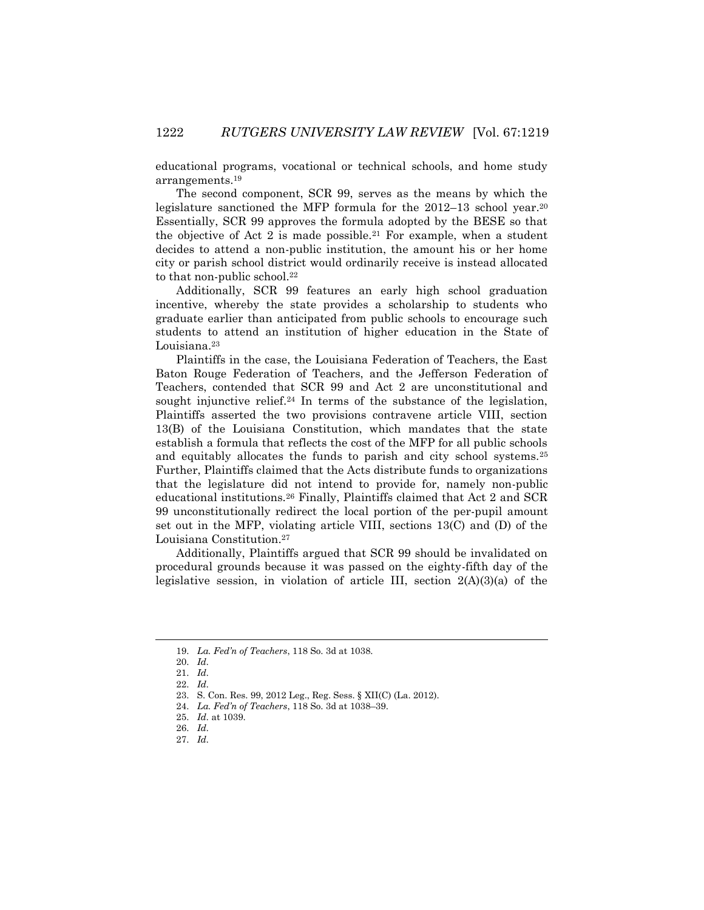educational programs, vocational or technical schools, and home study arrangements.<sup>19</sup>

The second component, SCR 99, serves as the means by which the legislature sanctioned the MFP formula for the 2012–13 school year.<sup>20</sup> Essentially, SCR 99 approves the formula adopted by the BESE so that the objective of Act 2 is made possible.<sup>21</sup> For example, when a student decides to attend a non-public institution, the amount his or her home city or parish school district would ordinarily receive is instead allocated to that non-public school.<sup>22</sup>

Additionally, SCR 99 features an early high school graduation incentive, whereby the state provides a scholarship to students who graduate earlier than anticipated from public schools to encourage such students to attend an institution of higher education in the State of Louisiana.<sup>23</sup>

Plaintiffs in the case, the Louisiana Federation of Teachers, the East Baton Rouge Federation of Teachers, and the Jefferson Federation of Teachers, contended that SCR 99 and Act 2 are unconstitutional and sought injunctive relief.<sup>24</sup> In terms of the substance of the legislation, Plaintiffs asserted the two provisions contravene article VIII, section 13(B) of the Louisiana Constitution, which mandates that the state establish a formula that reflects the cost of the MFP for all public schools and equitably allocates the funds to parish and city school systems.<sup>25</sup> Further, Plaintiffs claimed that the Acts distribute funds to organizations that the legislature did not intend to provide for, namely non-public educational institutions.<sup>26</sup> Finally, Plaintiffs claimed that Act 2 and SCR 99 unconstitutionally redirect the local portion of the per-pupil amount set out in the MFP, violating article VIII, sections 13(C) and (D) of the Louisiana Constitution.<sup>27</sup>

Additionally, Plaintiffs argued that SCR 99 should be invalidated on procedural grounds because it was passed on the eighty-fifth day of the legislative session, in violation of article III, section  $2(A)(3)(a)$  of the

<sup>19.</sup> *La. Fed'n of Teachers*, 118 So. 3d at 1038.

<sup>20.</sup> *Id.*

<sup>21.</sup> *Id.*

<sup>22.</sup> *Id.*

<sup>23.</sup> S. Con. Res. 99, 2012 Leg., Reg. Sess. § XII(C) (La. 2012).

<sup>24.</sup> *La. Fed'n of Teachers*, 118 So. 3d at 1038–39.

<sup>25.</sup> *Id.* at 1039.

<sup>26.</sup> *Id.*

<sup>27.</sup> *Id.*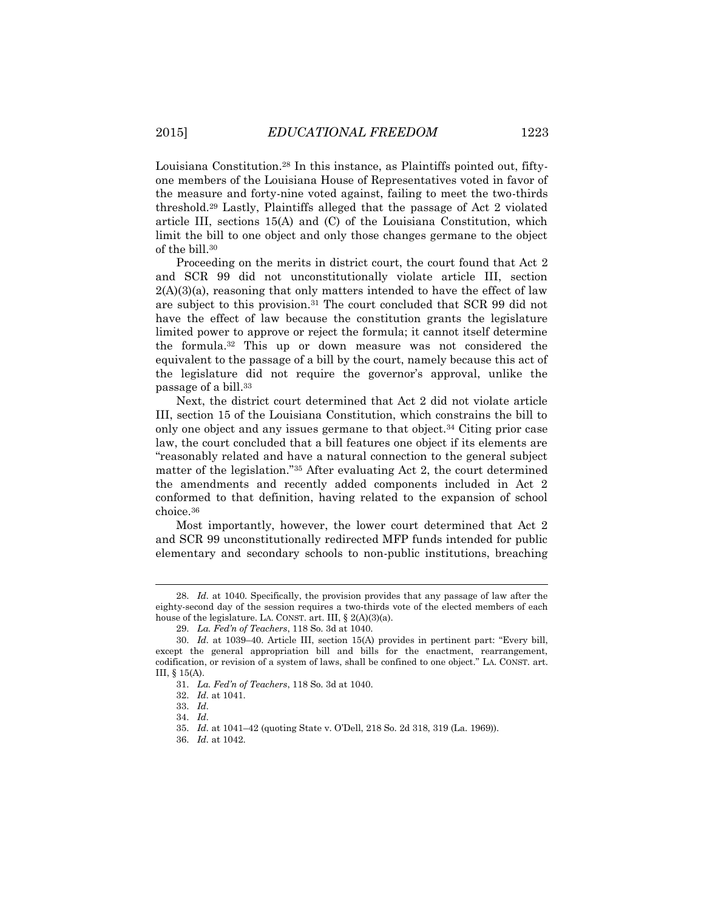Louisiana Constitution.<sup>28</sup> In this instance, as Plaintiffs pointed out, fiftyone members of the Louisiana House of Representatives voted in favor of the measure and forty-nine voted against, failing to meet the two-thirds threshold.<sup>29</sup> Lastly, Plaintiffs alleged that the passage of Act 2 violated article III, sections 15(A) and (C) of the Louisiana Constitution, which limit the bill to one object and only those changes germane to the object of the bill.<sup>30</sup>

Proceeding on the merits in district court, the court found that Act 2 and SCR 99 did not unconstitutionally violate article III, section  $2(A)(3)(a)$ , reasoning that only matters intended to have the effect of law are subject to this provision.<sup>31</sup> The court concluded that SCR 99 did not have the effect of law because the constitution grants the legislature limited power to approve or reject the formula; it cannot itself determine the formula.<sup>32</sup> This up or down measure was not considered the equivalent to the passage of a bill by the court, namely because this act of the legislature did not require the governor's approval, unlike the passage of a bill.<sup>33</sup>

Next, the district court determined that Act 2 did not violate article III, section 15 of the Louisiana Constitution, which constrains the bill to only one object and any issues germane to that object.<sup>34</sup> Citing prior case law, the court concluded that a bill features one object if its elements are "reasonably related and have a natural connection to the general subject matter of the legislation."<sup>35</sup> After evaluating Act 2, the court determined the amendments and recently added components included in Act 2 conformed to that definition, having related to the expansion of school choice.<sup>36</sup>

Most importantly, however, the lower court determined that Act 2 and SCR 99 unconstitutionally redirected MFP funds intended for public elementary and secondary schools to non-public institutions, breaching

 $\overline{\phantom{a}}$ 

<sup>28.</sup> *Id.* at 1040. Specifically, the provision provides that any passage of law after the eighty-second day of the session requires a two-thirds vote of the elected members of each house of the legislature. LA. CONST. art. III,  $\S$  2(A)(3)(a).

<sup>29.</sup> *La. Fed'n of Teachers*, 118 So. 3d at 1040.

<sup>30.</sup> *Id.* at 1039–40. Article III, section 15(A) provides in pertinent part: "Every bill, except the general appropriation bill and bills for the enactment, rearrangement, codification, or revision of a system of laws, shall be confined to one object." LA. CONST. art. III, § 15(A).

<sup>31.</sup> *La. Fed'n of Teachers*, 118 So. 3d at 1040.

<sup>32.</sup> *Id.* at 1041.

<sup>33.</sup> *Id.*

<sup>34.</sup> *Id.*

<sup>35.</sup> *Id.* at 1041–42 (quoting State v. O'Dell, 218 So. 2d 318, 319 (La. 1969)).

<sup>36.</sup> *Id.* at 1042.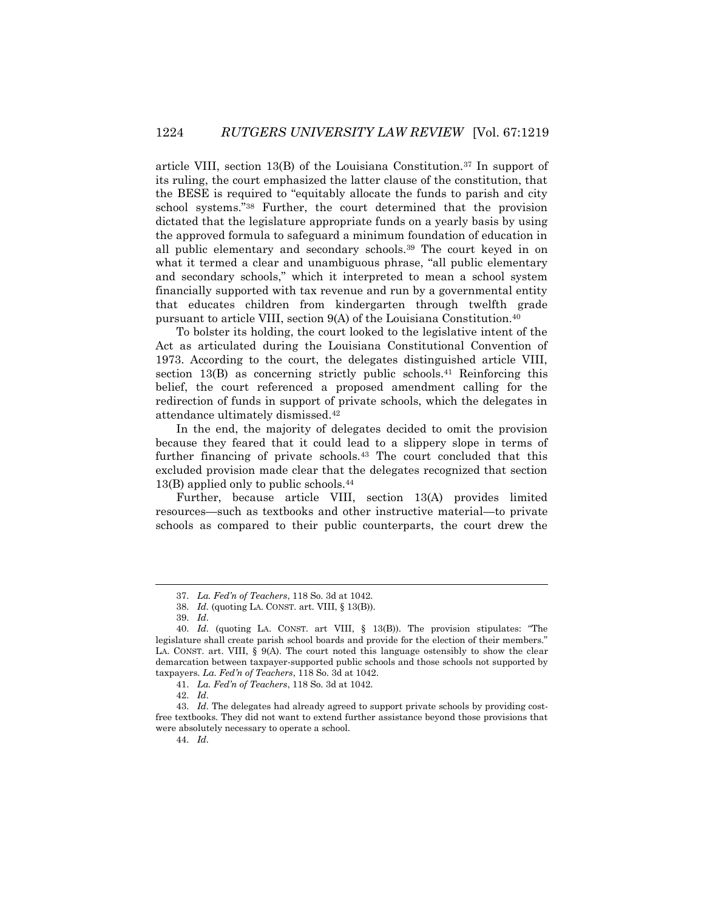article VIII, section 13(B) of the Louisiana Constitution.<sup>37</sup> In support of its ruling, the court emphasized the latter clause of the constitution, that the BESE is required to "equitably allocate the funds to parish and city school systems."<sup>38</sup> Further, the court determined that the provision dictated that the legislature appropriate funds on a yearly basis by using the approved formula to safeguard a minimum foundation of education in all public elementary and secondary schools.<sup>39</sup> The court keyed in on what it termed a clear and unambiguous phrase, "all public elementary and secondary schools," which it interpreted to mean a school system financially supported with tax revenue and run by a governmental entity that educates children from kindergarten through twelfth grade pursuant to article VIII, section 9(A) of the Louisiana Constitution.<sup>40</sup>

To bolster its holding, the court looked to the legislative intent of the Act as articulated during the Louisiana Constitutional Convention of 1973. According to the court, the delegates distinguished article VIII, section 13(B) as concerning strictly public schools.<sup>41</sup> Reinforcing this belief, the court referenced a proposed amendment calling for the redirection of funds in support of private schools, which the delegates in attendance ultimately dismissed.<sup>42</sup>

In the end, the majority of delegates decided to omit the provision because they feared that it could lead to a slippery slope in terms of further financing of private schools.<sup>43</sup> The court concluded that this excluded provision made clear that the delegates recognized that section 13(B) applied only to public schools.<sup>44</sup>

Further, because article VIII, section 13(A) provides limited resources—such as textbooks and other instructive material—to private schools as compared to their public counterparts, the court drew the

 $\overline{\phantom{a}}$ 

44. *Id.*

<sup>37.</sup> *La. Fed'n of Teachers*, 118 So. 3d at 1042.

<sup>38.</sup> *Id.* (quoting LA. CONST. art. VIII, § 13(B)).

<sup>39.</sup> *Id.*

<sup>40.</sup> *Id.* (quoting LA. CONST. art VIII, § 13(B)). The provision stipulates: "The legislature shall create parish school boards and provide for the election of their members." LA. CONST. art. VIII, § 9(A). The court noted this language ostensibly to show the clear demarcation between taxpayer-supported public schools and those schools not supported by taxpayers. *La. Fed'n of Teachers*, 118 So. 3d at 1042.

<sup>41.</sup> *La. Fed'n of Teachers*, 118 So. 3d at 1042.

<sup>42.</sup> *Id.*

<sup>43.</sup> *Id.* The delegates had already agreed to support private schools by providing costfree textbooks. They did not want to extend further assistance beyond those provisions that were absolutely necessary to operate a school.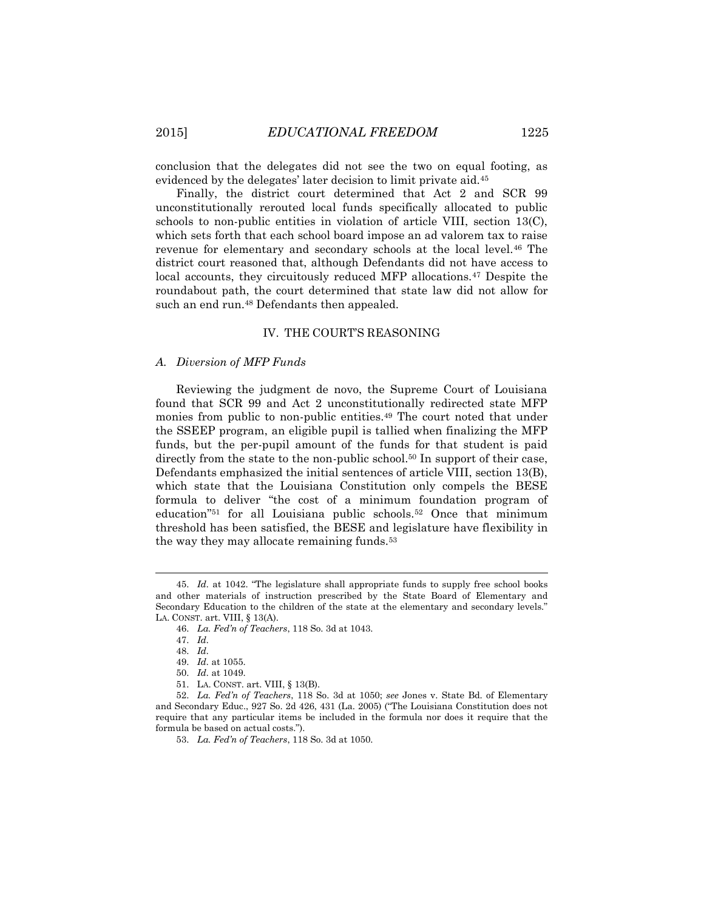conclusion that the delegates did not see the two on equal footing, as evidenced by the delegates' later decision to limit private aid.<sup>45</sup>

Finally, the district court determined that Act 2 and SCR 99 unconstitutionally rerouted local funds specifically allocated to public schools to non-public entities in violation of article VIII, section 13(C), which sets forth that each school board impose an ad valorem tax to raise revenue for elementary and secondary schools at the local level.<sup>46</sup> The district court reasoned that, although Defendants did not have access to local accounts, they circuitously reduced MFP allocations.<sup>47</sup> Despite the roundabout path, the court determined that state law did not allow for such an end run.<sup>48</sup> Defendants then appealed.

#### IV. THE COURT'S REASONING

#### *A. Diversion of MFP Funds*

Reviewing the judgment de novo, the Supreme Court of Louisiana found that SCR 99 and Act 2 unconstitutionally redirected state MFP monies from public to non-public entities.<sup>49</sup> The court noted that under the SSEEP program, an eligible pupil is tallied when finalizing the MFP funds, but the per-pupil amount of the funds for that student is paid directly from the state to the non-public school.<sup>50</sup> In support of their case, Defendants emphasized the initial sentences of article VIII, section 13(B), which state that the Louisiana Constitution only compels the BESE formula to deliver "the cost of a minimum foundation program of education"<sup>51</sup> for all Louisiana public schools.<sup>52</sup> Once that minimum threshold has been satisfied, the BESE and legislature have flexibility in the way they may allocate remaining funds.<sup>53</sup>

<sup>45.</sup> *Id.* at 1042. "The legislature shall appropriate funds to supply free school books and other materials of instruction prescribed by the State Board of Elementary and Secondary Education to the children of the state at the elementary and secondary levels." LA. CONST. art. VIII, § 13(A).

<sup>46.</sup> *La. Fed'n of Teachers*, 118 So. 3d at 1043.

<sup>47.</sup> *Id.*

<sup>48.</sup> *Id.*

<sup>49.</sup> *Id.* at 1055.

<sup>50.</sup> *Id.* at 1049.

<sup>51.</sup> LA. CONST. art. VIII, § 13(B).

<sup>52.</sup> *La. Fed'n of Teachers*, 118 So. 3d at 1050; *see* Jones v. State Bd. of Elementary and Secondary Educ., 927 So. 2d 426, 431 (La. 2005) ("The Louisiana Constitution does not require that any particular items be included in the formula nor does it require that the formula be based on actual costs.").

<sup>53.</sup> *La. Fed'n of Teachers*, 118 So. 3d at 1050.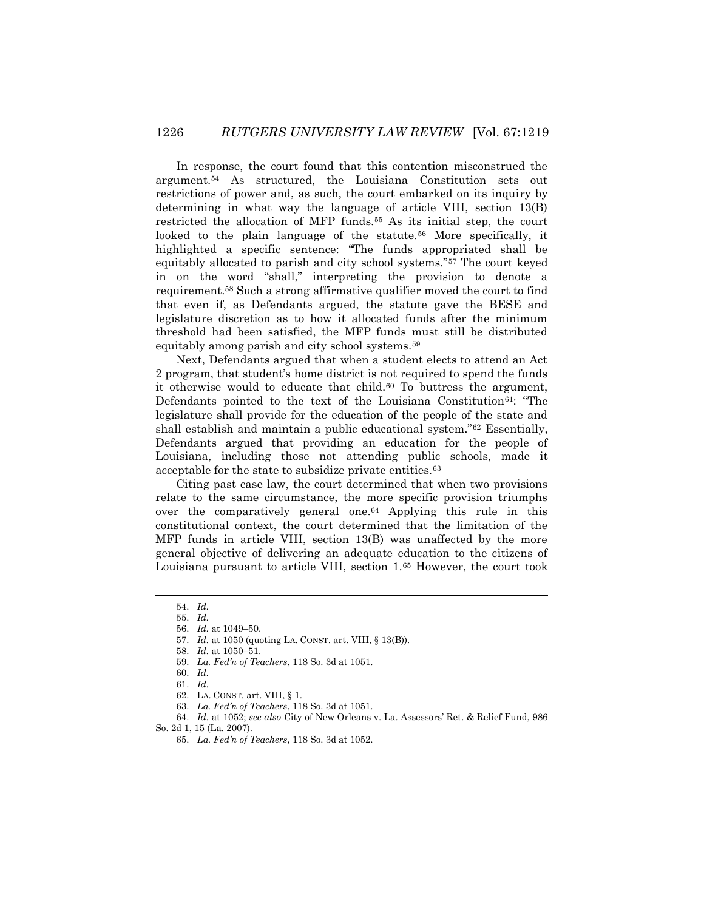In response, the court found that this contention misconstrued the argument.<sup>54</sup> As structured, the Louisiana Constitution sets out restrictions of power and, as such, the court embarked on its inquiry by determining in what way the language of article VIII, section 13(B) restricted the allocation of MFP funds.<sup>55</sup> As its initial step, the court looked to the plain language of the statute.<sup>56</sup> More specifically, it highlighted a specific sentence: "The funds appropriated shall be equitably allocated to parish and city school systems."<sup>57</sup> The court keyed in on the word "shall," interpreting the provision to denote a requirement.<sup>58</sup> Such a strong affirmative qualifier moved the court to find that even if, as Defendants argued, the statute gave the BESE and legislature discretion as to how it allocated funds after the minimum threshold had been satisfied, the MFP funds must still be distributed equitably among parish and city school systems.<sup>59</sup>

Next, Defendants argued that when a student elects to attend an Act 2 program, that student's home district is not required to spend the funds it otherwise would to educate that child. $60$  To buttress the argument, Defendants pointed to the text of the Louisiana Constitution<sup>61</sup>: "The legislature shall provide for the education of the people of the state and shall establish and maintain a public educational system."<sup>62</sup> Essentially, Defendants argued that providing an education for the people of Louisiana, including those not attending public schools, made it acceptable for the state to subsidize private entities.<sup>63</sup>

Citing past case law, the court determined that when two provisions relate to the same circumstance, the more specific provision triumphs over the comparatively general one.<sup>64</sup> Applying this rule in this constitutional context, the court determined that the limitation of the MFP funds in article VIII, section 13(B) was unaffected by the more general objective of delivering an adequate education to the citizens of Louisiana pursuant to article VIII, section 1.<sup>65</sup> However, the court took

l

<sup>54.</sup> *Id.*

<sup>55.</sup> *Id.*

<sup>56.</sup> *Id.* at 1049–50.

<sup>57.</sup> *Id.* at 1050 (quoting LA. CONST. art. VIII, § 13(B)).

<sup>58.</sup> *Id.* at 1050–51.

<sup>59.</sup> *La. Fed'n of Teachers*, 118 So. 3d at 1051.

<sup>60.</sup> *Id.*

<sup>61.</sup> *Id.*

<sup>62.</sup> LA. CONST. art. VIII, § 1.

<sup>63.</sup> *La. Fed'n of Teachers*, 118 So. 3d at 1051.

<sup>64.</sup> *Id.* at 1052; *see also* City of New Orleans v. La. Assessors' Ret. & Relief Fund, 986

So. 2d 1, 15 (La. 2007).

<sup>65.</sup> *La. Fed'n of Teachers*, 118 So. 3d at 1052.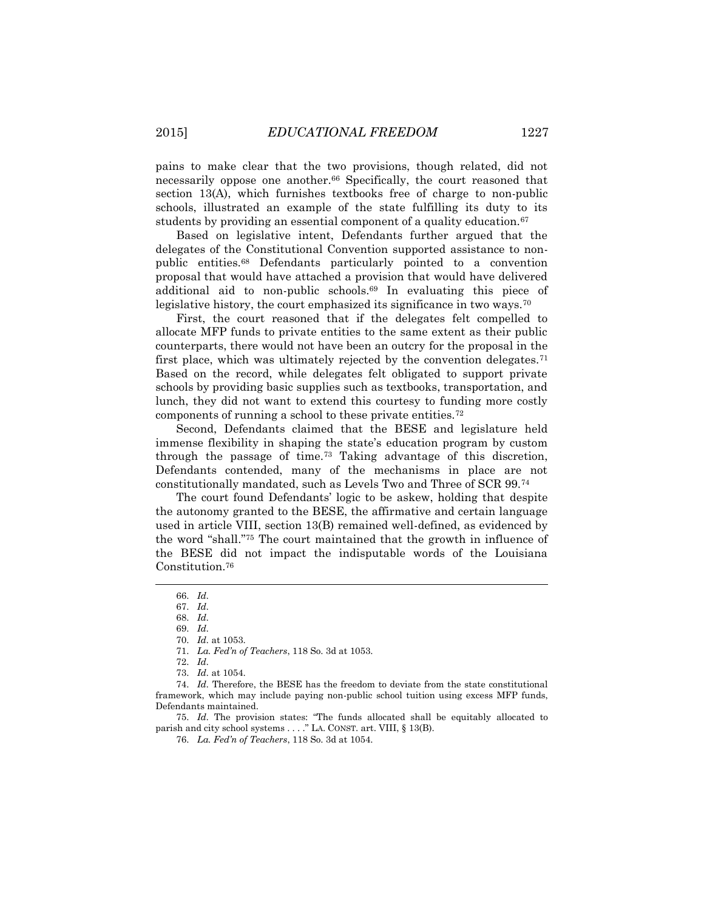pains to make clear that the two provisions, though related, did not necessarily oppose one another.<sup>66</sup> Specifically, the court reasoned that section 13(A), which furnishes textbooks free of charge to non-public schools, illustrated an example of the state fulfilling its duty to its students by providing an essential component of a quality education.<sup>67</sup>

Based on legislative intent, Defendants further argued that the delegates of the Constitutional Convention supported assistance to nonpublic entities.<sup>68</sup> Defendants particularly pointed to a convention proposal that would have attached a provision that would have delivered additional aid to non-public schools.<sup>69</sup> In evaluating this piece of legislative history, the court emphasized its significance in two ways.<sup>70</sup>

First, the court reasoned that if the delegates felt compelled to allocate MFP funds to private entities to the same extent as their public counterparts, there would not have been an outcry for the proposal in the first place, which was ultimately rejected by the convention delegates.<sup>71</sup> Based on the record, while delegates felt obligated to support private schools by providing basic supplies such as textbooks, transportation, and lunch, they did not want to extend this courtesy to funding more costly components of running a school to these private entities.<sup>72</sup>

Second, Defendants claimed that the BESE and legislature held immense flexibility in shaping the state's education program by custom through the passage of time.<sup>73</sup> Taking advantage of this discretion, Defendants contended, many of the mechanisms in place are not constitutionally mandated, such as Levels Two and Three of SCR 99.<sup>74</sup>

The court found Defendants' logic to be askew, holding that despite the autonomy granted to the BESE, the affirmative and certain language used in article VIII, section 13(B) remained well-defined, as evidenced by the word "shall."<sup>75</sup> The court maintained that the growth in influence of the BESE did not impact the indisputable words of the Louisiana Constitution.<sup>76</sup>

 $\overline{\phantom{a}}$ 

75. *Id.* The provision states: "The funds allocated shall be equitably allocated to parish and city school systems . . . ." LA. CONST. art. VIII, § 13(B).

76. *La. Fed'n of Teachers*, 118 So. 3d at 1054.

<sup>66.</sup> *Id.*

<sup>67.</sup> *Id.*

<sup>68.</sup> *Id.*

<sup>69.</sup> *Id.*

<sup>70.</sup> *Id.* at 1053.

<sup>71.</sup> *La. Fed'n of Teachers*, 118 So. 3d at 1053.

<sup>72.</sup> *Id.*

<sup>73.</sup> *Id.* at 1054.

<sup>74.</sup> *Id.* Therefore, the BESE has the freedom to deviate from the state constitutional framework, which may include paying non-public school tuition using excess MFP funds, Defendants maintained.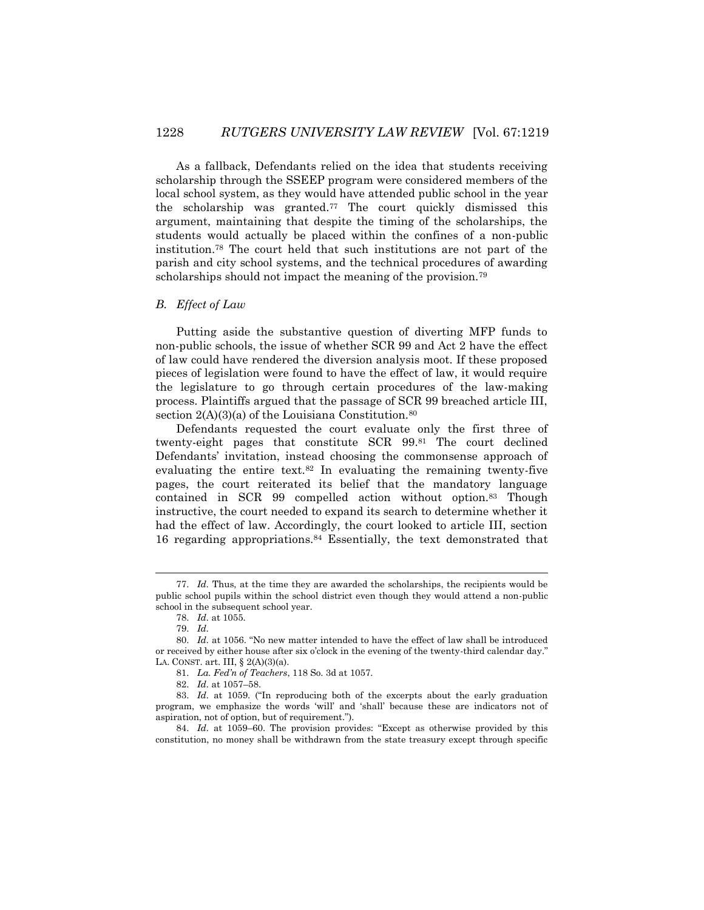As a fallback, Defendants relied on the idea that students receiving scholarship through the SSEEP program were considered members of the local school system, as they would have attended public school in the year the scholarship was granted.<sup>77</sup> The court quickly dismissed this argument, maintaining that despite the timing of the scholarships, the students would actually be placed within the confines of a non-public institution.<sup>78</sup> The court held that such institutions are not part of the parish and city school systems, and the technical procedures of awarding scholarships should not impact the meaning of the provision.<sup>79</sup>

#### *B. Effect of Law*

Putting aside the substantive question of diverting MFP funds to non-public schools, the issue of whether SCR 99 and Act 2 have the effect of law could have rendered the diversion analysis moot. If these proposed pieces of legislation were found to have the effect of law, it would require the legislature to go through certain procedures of the law-making process. Plaintiffs argued that the passage of SCR 99 breached article III, section  $2(A)(3)(a)$  of the Louisiana Constitution.<sup>80</sup>

Defendants requested the court evaluate only the first three of twenty-eight pages that constitute SCR 99.<sup>81</sup> The court declined Defendants' invitation, instead choosing the commonsense approach of evaluating the entire text.<sup>82</sup> In evaluating the remaining twenty-five pages, the court reiterated its belief that the mandatory language contained in SCR 99 compelled action without option.<sup>83</sup> Though instructive, the court needed to expand its search to determine whether it had the effect of law. Accordingly, the court looked to article III, section 16 regarding appropriations.<sup>84</sup> Essentially, the text demonstrated that

<sup>77.</sup> *Id.* Thus, at the time they are awarded the scholarships, the recipients would be public school pupils within the school district even though they would attend a non-public school in the subsequent school year.

<sup>78.</sup> *Id.* at 1055.

<sup>79.</sup> *Id.*

<sup>80.</sup> *Id.* at 1056. "No new matter intended to have the effect of law shall be introduced or received by either house after six o'clock in the evening of the twenty-third calendar day." LA. CONST. art. III,  $\S$  2(A)(3)(a).

<sup>81.</sup> *La. Fed'n of Teachers*, 118 So. 3d at 1057.

<sup>82.</sup> *Id.* at 1057–58.

<sup>83.</sup> *Id.* at 1059. ("In reproducing both of the excerpts about the early graduation program, we emphasize the words 'will' and 'shall' because these are indicators not of aspiration, not of option, but of requirement.").

<sup>84.</sup> *Id.* at 1059–60. The provision provides: "Except as otherwise provided by this constitution, no money shall be withdrawn from the state treasury except through specific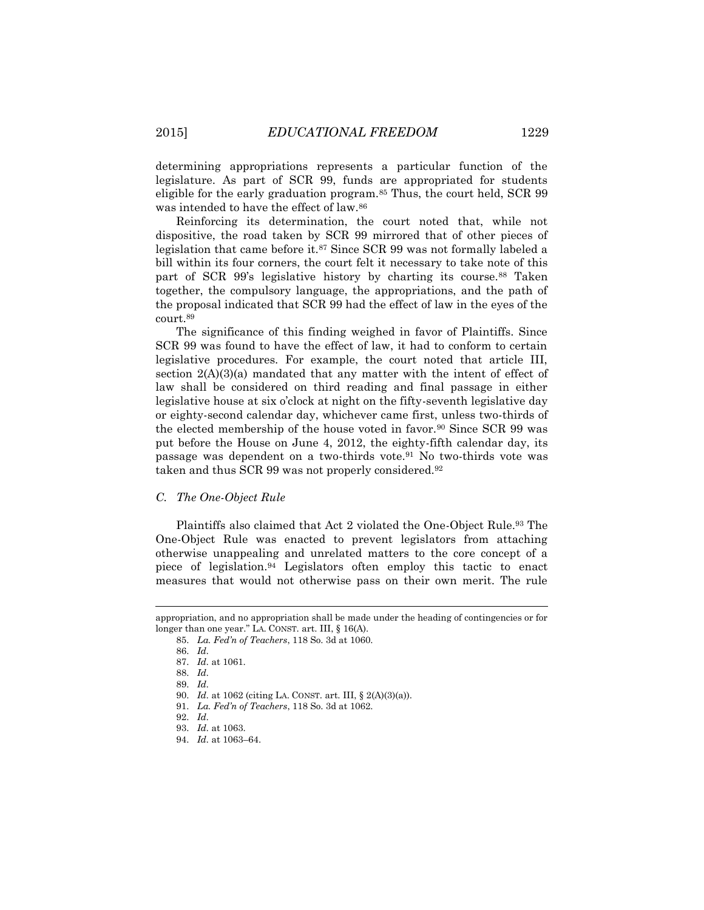determining appropriations represents a particular function of the legislature. As part of SCR 99, funds are appropriated for students eligible for the early graduation program.<sup>85</sup> Thus, the court held, SCR 99 was intended to have the effect of law.<sup>86</sup>

Reinforcing its determination, the court noted that, while not dispositive, the road taken by SCR 99 mirrored that of other pieces of legislation that came before it.<sup>87</sup> Since SCR 99 was not formally labeled a bill within its four corners, the court felt it necessary to take note of this part of SCR 99's legislative history by charting its course.<sup>88</sup> Taken together, the compulsory language, the appropriations, and the path of the proposal indicated that SCR 99 had the effect of law in the eyes of the court.<sup>89</sup>

The significance of this finding weighed in favor of Plaintiffs. Since SCR 99 was found to have the effect of law, it had to conform to certain legislative procedures. For example, the court noted that article III, section  $2(A)(3)(a)$  mandated that any matter with the intent of effect of law shall be considered on third reading and final passage in either legislative house at six o'clock at night on the fifty-seventh legislative day or eighty-second calendar day, whichever came first, unless two-thirds of the elected membership of the house voted in favor.<sup>90</sup> Since SCR 99 was put before the House on June 4, 2012, the eighty-fifth calendar day, its passage was dependent on a two-thirds vote.<sup>91</sup> No two-thirds vote was taken and thus SCR 99 was not properly considered.<sup>92</sup>

#### *C. The One-Object Rule*

Plaintiffs also claimed that Act 2 violated the One-Object Rule.<sup>93</sup> The One-Object Rule was enacted to prevent legislators from attaching otherwise unappealing and unrelated matters to the core concept of a piece of legislation.<sup>94</sup> Legislators often employ this tactic to enact measures that would not otherwise pass on their own merit. The rule

 $\overline{\phantom{a}}$ 

appropriation, and no appropriation shall be made under the heading of contingencies or for longer than one year." LA. CONST. art. III, § 16(A).

<sup>85.</sup> *La. Fed'n of Teachers*, 118 So. 3d at 1060.

<sup>86.</sup> *Id.*

<sup>87.</sup> *Id.* at 1061.

<sup>88.</sup> *Id.*

<sup>89.</sup> *Id.*

<sup>90.</sup> *Id.* at 1062 (citing LA. CONST. art. III, § 2(A)(3)(a)).

<sup>91.</sup> *La. Fed'n of Teachers*, 118 So. 3d at 1062.

<sup>92.</sup> *Id.*

<sup>93.</sup> *Id.* at 1063.

<sup>94.</sup> *Id.* at 1063–64.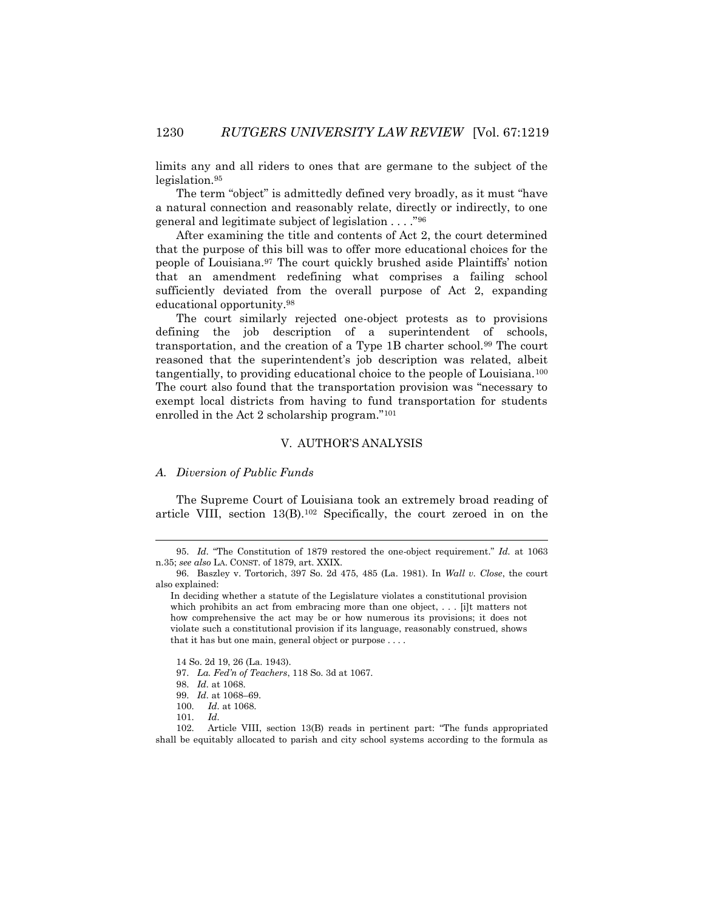limits any and all riders to ones that are germane to the subject of the legislation.<sup>95</sup>

The term "object" is admittedly defined very broadly, as it must "have a natural connection and reasonably relate, directly or indirectly, to one general and legitimate subject of legislation . . . ."<sup>96</sup>

After examining the title and contents of Act 2, the court determined that the purpose of this bill was to offer more educational choices for the people of Louisiana.<sup>97</sup> The court quickly brushed aside Plaintiffs' notion that an amendment redefining what comprises a failing school sufficiently deviated from the overall purpose of Act 2, expanding educational opportunity.<sup>98</sup>

The court similarly rejected one-object protests as to provisions defining the job description of a superintendent of schools, transportation, and the creation of a Type 1B charter school.<sup>99</sup> The court reasoned that the superintendent's job description was related, albeit tangentially, to providing educational choice to the people of Louisiana.<sup>100</sup> The court also found that the transportation provision was "necessary to exempt local districts from having to fund transportation for students enrolled in the Act 2 scholarship program."<sup>101</sup>

## V. AUTHOR'S ANALYSIS

## *A. Diversion of Public Funds*

The Supreme Court of Louisiana took an extremely broad reading of article VIII, section 13(B).<sup>102</sup> Specifically, the court zeroed in on the

- 100. *Id.* at 1068.
- 101. *Id.*

<sup>95.</sup> *Id.* "The Constitution of 1879 restored the one-object requirement." *Id.* at 1063 n.35; *see also* LA. CONST. of 1879, art. XXIX.

<sup>96.</sup> Baszley v. Tortorich, 397 So. 2d 475, 485 (La. 1981). In *Wall v. Close*, the court also explained:

In deciding whether a statute of the Legislature violates a constitutional provision which prohibits an act from embracing more than one object, ... [i]t matters not how comprehensive the act may be or how numerous its provisions; it does not violate such a constitutional provision if its language, reasonably construed, shows that it has but one main, general object or purpose . . . .

<sup>14</sup> So. 2d 19, 26 (La. 1943).

<sup>97.</sup> *La. Fed'n of Teachers*, 118 So. 3d at 1067.

<sup>98.</sup> *Id.* at 1068.

<sup>99.</sup> *Id.* at 1068–69.

<sup>102.</sup> Article VIII, section 13(B) reads in pertinent part: "The funds appropriated shall be equitably allocated to parish and city school systems according to the formula as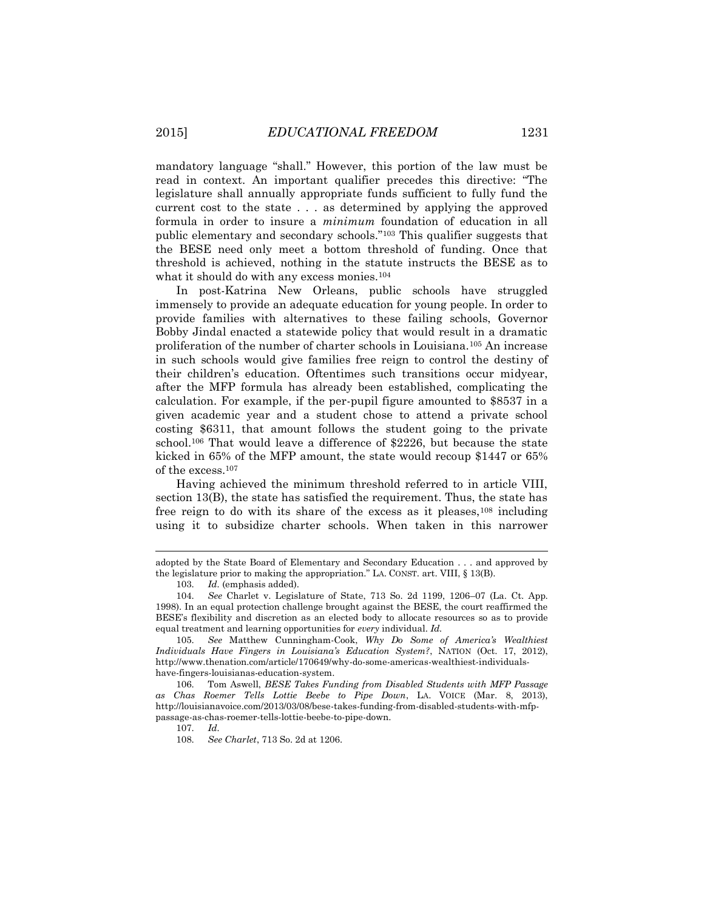mandatory language "shall." However, this portion of the law must be read in context. An important qualifier precedes this directive: "The legislature shall annually appropriate funds sufficient to fully fund the current cost to the state . . . as determined by applying the approved formula in order to insure a *minimum* foundation of education in all public elementary and secondary schools."<sup>103</sup> This qualifier suggests that the BESE need only meet a bottom threshold of funding. Once that threshold is achieved, nothing in the statute instructs the BESE as to what it should do with any excess monies.<sup>104</sup>

In post-Katrina New Orleans, public schools have struggled immensely to provide an adequate education for young people. In order to provide families with alternatives to these failing schools, Governor Bobby Jindal enacted a statewide policy that would result in a dramatic proliferation of the number of charter schools in Louisiana.<sup>105</sup> An increase in such schools would give families free reign to control the destiny of their children's education. Oftentimes such transitions occur midyear, after the MFP formula has already been established, complicating the calculation. For example, if the per-pupil figure amounted to \$8537 in a given academic year and a student chose to attend a private school costing \$6311, that amount follows the student going to the private school.<sup>106</sup> That would leave a difference of \$2226, but because the state kicked in 65% of the MFP amount, the state would recoup \$1447 or 65% of the excess.<sup>107</sup>

Having achieved the minimum threshold referred to in article VIII, section 13(B), the state has satisfied the requirement. Thus, the state has free reign to do with its share of the excess as it pleases,<sup>108</sup> including using it to subsidize charter schools. When taken in this narrower

 $\overline{\phantom{a}}$ 

adopted by the State Board of Elementary and Secondary Education . . . and approved by the legislature prior to making the appropriation." LA. CONST. art. VIII,  $\S$  13(B).

<sup>103.</sup> *Id.* (emphasis added).

<sup>104.</sup> *See* Charlet v. Legislature of State, 713 So. 2d 1199, 1206–07 (La. Ct. App. 1998). In an equal protection challenge brought against the BESE, the court reaffirmed the BESE's flexibility and discretion as an elected body to allocate resources so as to provide equal treatment and learning opportunities for *every* individual. *Id.*

<sup>105.</sup> *See* Matthew Cunningham-Cook, *Why Do Some of America's Wealthiest Individuals Have Fingers in Louisiana's Education System?*, NATION (Oct. 17, 2012), http://www.thenation.com/article/170649/why-do-some-americas-wealthiest-individualshave-fingers-louisianas-education-system.

<sup>106.</sup> Tom Aswell, *BESE Takes Funding from Disabled Students with MFP Passage as Chas Roemer Tells Lottie Beebe to Pipe Down*, LA. VOICE (Mar. 8, 2013), http://louisianavoice.com/2013/03/08/bese-takes-funding-from-disabled-students-with-mfppassage-as-chas-roemer-tells-lottie-beebe-to-pipe-down.

<sup>107.</sup> *Id.*

<sup>108.</sup> *See Charlet*, 713 So. 2d at 1206.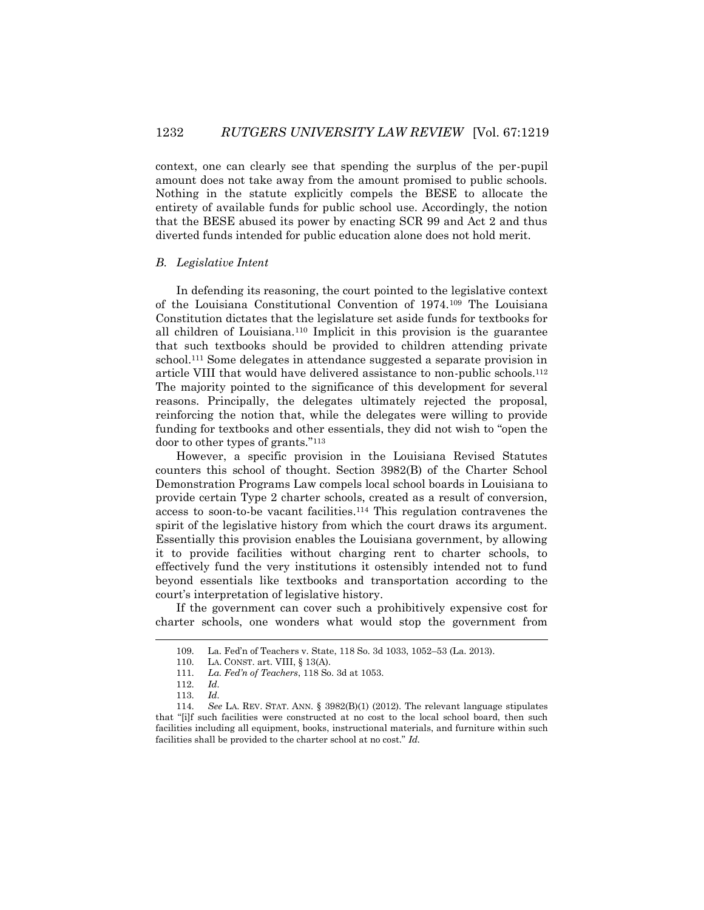context, one can clearly see that spending the surplus of the per-pupil amount does not take away from the amount promised to public schools. Nothing in the statute explicitly compels the BESE to allocate the entirety of available funds for public school use. Accordingly, the notion that the BESE abused its power by enacting SCR 99 and Act 2 and thus diverted funds intended for public education alone does not hold merit.

## *B. Legislative Intent*

In defending its reasoning, the court pointed to the legislative context of the Louisiana Constitutional Convention of 1974.<sup>109</sup> The Louisiana Constitution dictates that the legislature set aside funds for textbooks for all children of Louisiana.<sup>110</sup> Implicit in this provision is the guarantee that such textbooks should be provided to children attending private school.<sup>111</sup> Some delegates in attendance suggested a separate provision in article VIII that would have delivered assistance to non-public schools.<sup>112</sup> The majority pointed to the significance of this development for several reasons. Principally, the delegates ultimately rejected the proposal, reinforcing the notion that, while the delegates were willing to provide funding for textbooks and other essentials, they did not wish to "open the door to other types of grants."<sup>113</sup>

However, a specific provision in the Louisiana Revised Statutes counters this school of thought. Section 3982(B) of the Charter School Demonstration Programs Law compels local school boards in Louisiana to provide certain Type 2 charter schools, created as a result of conversion, access to soon-to-be vacant facilities.<sup>114</sup> This regulation contravenes the spirit of the legislative history from which the court draws its argument. Essentially this provision enables the Louisiana government, by allowing it to provide facilities without charging rent to charter schools, to effectively fund the very institutions it ostensibly intended not to fund beyond essentials like textbooks and transportation according to the court's interpretation of legislative history.

If the government can cover such a prohibitively expensive cost for charter schools, one wonders what would stop the government from

<sup>109.</sup> La. Fed'n of Teachers v. State, 118 So. 3d 1033, 1052–53 (La. 2013).

<sup>110.</sup> LA. CONST. art. VIII, § 13(A).

<sup>111.</sup> *La. Fed'n of Teachers*, 118 So. 3d at 1053.

<sup>112.</sup> *Id.*

<sup>113.</sup> *Id.*

<sup>114.</sup> *See* LA. REV. STAT. ANN. § 3982(B)(1) (2012). The relevant language stipulates that "[i]f such facilities were constructed at no cost to the local school board, then such facilities including all equipment, books, instructional materials, and furniture within such facilities shall be provided to the charter school at no cost." *Id.*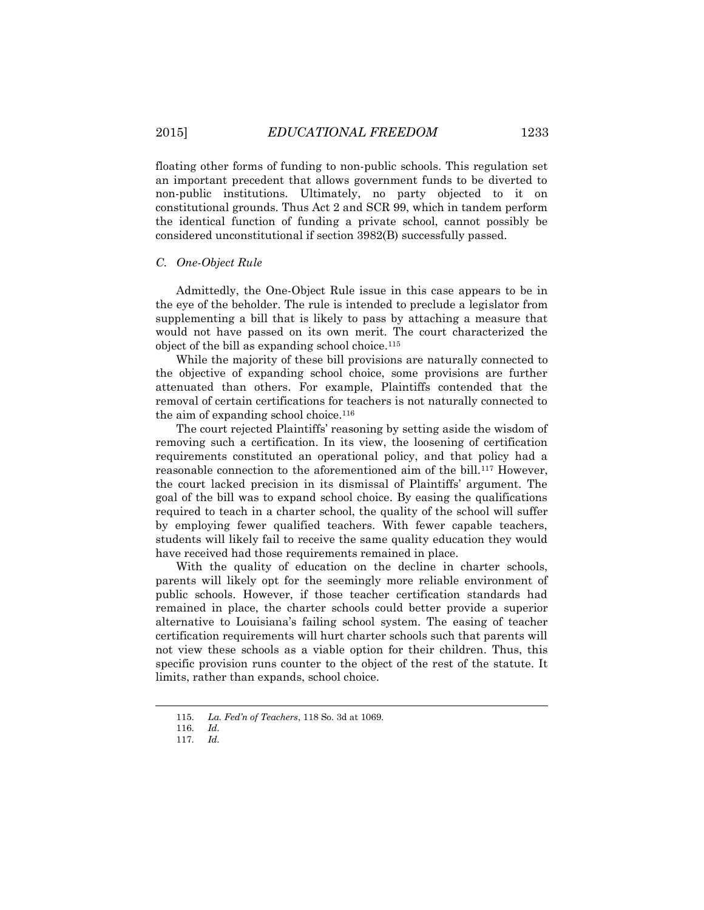floating other forms of funding to non-public schools. This regulation set an important precedent that allows government funds to be diverted to non-public institutions. Ultimately, no party objected to it on constitutional grounds. Thus Act 2 and SCR 99, which in tandem perform the identical function of funding a private school, cannot possibly be considered unconstitutional if section 3982(B) successfully passed.

#### *C. One-Object Rule*

Admittedly, the One-Object Rule issue in this case appears to be in the eye of the beholder. The rule is intended to preclude a legislator from supplementing a bill that is likely to pass by attaching a measure that would not have passed on its own merit. The court characterized the object of the bill as expanding school choice.<sup>115</sup>

While the majority of these bill provisions are naturally connected to the objective of expanding school choice, some provisions are further attenuated than others. For example, Plaintiffs contended that the removal of certain certifications for teachers is not naturally connected to the aim of expanding school choice.<sup>116</sup>

The court rejected Plaintiffs' reasoning by setting aside the wisdom of removing such a certification. In its view, the loosening of certification requirements constituted an operational policy, and that policy had a reasonable connection to the aforementioned aim of the bill.<sup>117</sup> However, the court lacked precision in its dismissal of Plaintiffs' argument. The goal of the bill was to expand school choice. By easing the qualifications required to teach in a charter school, the quality of the school will suffer by employing fewer qualified teachers. With fewer capable teachers, students will likely fail to receive the same quality education they would have received had those requirements remained in place.

With the quality of education on the decline in charter schools, parents will likely opt for the seemingly more reliable environment of public schools. However, if those teacher certification standards had remained in place, the charter schools could better provide a superior alternative to Louisiana's failing school system. The easing of teacher certification requirements will hurt charter schools such that parents will not view these schools as a viable option for their children. Thus, this specific provision runs counter to the object of the rest of the statute. It limits, rather than expands, school choice.

<sup>115.</sup> *La. Fed'n of Teachers*, 118 So. 3d at 1069.

<sup>116.</sup> *Id.*

<sup>117.</sup> *Id.*